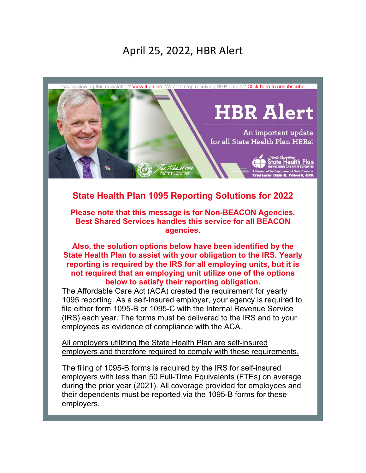# April 25, 2022, HBR Alert



## **State Health Plan 1095 Reporting Solutions for 2022**

**Please note that this message is for Non-BEACON Agencies. Best Shared Services handles this service for all BEACON agencies.** 

**Also, the solution options below have been identified by the State Health Plan to assist with your obligation to the IRS. Yearly reporting is required by the IRS for all employing units, but it is not required that an employing unit utilize one of the options below to satisfy their reporting obligation.**

The Affordable Care Act (ACA) created the requirement for yearly 1095 reporting. As a self-insured employer, your agency is required to file either form 1095-B or 1095-C with the Internal Revenue Service (IRS) each year. The forms must be delivered to the IRS and to your employees as evidence of compliance with the ACA.

All employers utilizing the State Health Plan are self-insured employers and therefore required to comply with these requirements.

The filing of 1095-B forms is required by the IRS for self-insured employers with less than 50 Full-Time Equivalents (FTEs) on average during the prior year (2021). All coverage provided for employees and their dependents must be reported via the 1095-B forms for these employers.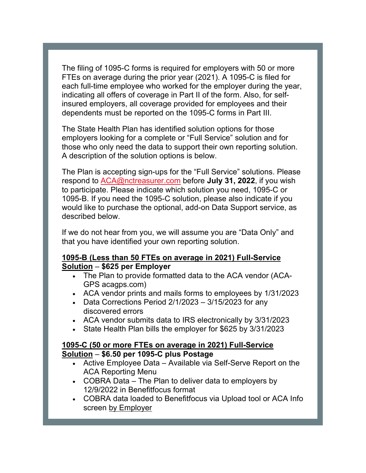The filing of 1095-C forms is required for employers with 50 or more FTEs on average during the prior year (2021). A 1095-C is filed for each full-time employee who worked for the employer during the year, indicating all offers of coverage in Part II of the form. Also, for selfinsured employers, all coverage provided for employees and their dependents must be reported on the 1095-C forms in Part III.

The State Health Plan has identified solution options for those employers looking for a complete or "Full Service" solution and for those who only need the data to support their own reporting solution. A description of the solution options is below.

The Plan is accepting sign-ups for the "Full Service" solutions. Please respond to [ACA@nctreasurer.com](mailto:ACA@nctreasurer.com) before **July 31, 2022**, if you wish to participate. Please indicate which solution you need, 1095-C or 1095-B. If you need the 1095-C solution, please also indicate if you would like to purchase the optional, add-on Data Support service, as described below.

If we do not hear from you, we will assume you are "Data Only" and that you have identified your own reporting solution.

#### **1095-B (Less than 50 FTEs on average in 2021) Full-Service Solution** – **\$625 per Employer**

- The Plan to provide formatted data to the ACA vendor (ACA-GPS acagps.com)
- ACA vendor prints and mails forms to employees by 1/31/2023
- Data Corrections Period  $2/1/2023 3/15/2023$  for any discovered errors
- ACA vendor submits data to IRS electronically by 3/31/2023
- State Health Plan bills the employer for \$625 by 3/31/2023

#### **1095-C (50 or more FTEs on average in 2021) Full-Service Solution** – **\$6.50 per 1095-C plus Postage**

- Active Employee Data Available via Self-Serve Report on the ACA Reporting Menu
- COBRA Data The Plan to deliver data to employers by 12/9/2022 in Benefitfocus format
- COBRA data loaded to Benefitfocus via Upload tool or ACA Info screen by Employer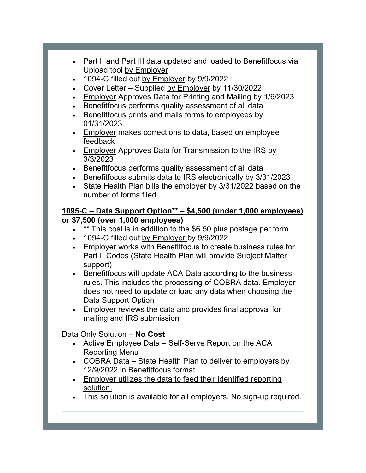- Part II and Part III data updated and loaded to Benefitfocus via Upload tool by Employer
- 1094-C filled out by Employer by 9/9/2022
- Cover Letter Supplied by Employer by 11/30/2022
- Employer Approves Data for Printing and Mailing by 1/6/2023
- Benefitfocus performs quality assessment of all data
- Benefitfocus prints and mails forms to employees by 01/31/2023
- Employer makes corrections to data, based on employee feedback
- Employer Approves Data for Transmission to the IRS by 3/3/2023
- Benefitfocus performs quality assessment of all data
- Benefitfocus submits data to IRS electronically by 3/31/2023
- State Health Plan bills the employer by 3/31/2022 based on the number of forms filed

#### **1095-C – Data Support Option\*\* – \$4,500 (under 1,000 employees) or \$7,500 (over 1,000 employees)**

- \*\* This cost is in addition to the \$6.50 plus postage per form
- 1094-C filled out by Employer by 9/9/2022
- Employer works with Benefitfocus to create business rules for Part II Codes (State Health Plan will provide Subject Matter support)
- Benefitfocus will update ACA Data according to the business rules. This includes the processing of COBRA data. Employer does not need to update or load any data when choosing the Data Support Option
- Employer reviews the data and provides final approval for mailing and IRS submission

### Data Only Solution – **No Cost**

- Active Employee Data Self-Serve Report on the ACA Reporting Menu
- COBRA Data State Health Plan to deliver to employers by 12/9/2022 in Benefitfocus format
- Employer utilizes the data to feed their identified reporting solution.
- This solution is available for all employers. No sign-up required.